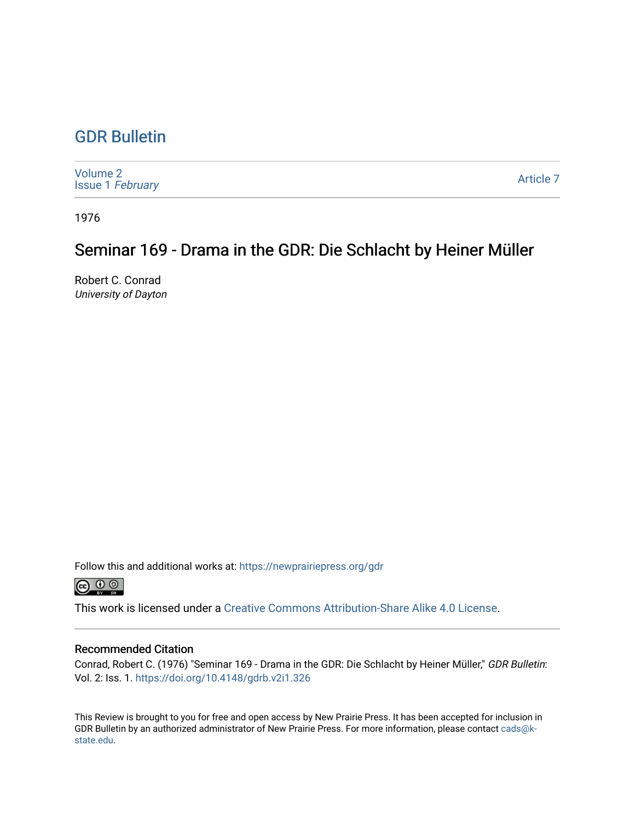## [GDR Bulletin](https://newprairiepress.org/gdr)

| <b>Volume 2</b><br><b>Issue 1 February</b> | <b>Article 7</b> |
|--------------------------------------------|------------------|
|--------------------------------------------|------------------|

1976

## Seminar 169 - Drama in the GDR: Die Schlacht by Heiner Müller

Robert C. Conrad University of Dayton

Follow this and additional works at: [https://newprairiepress.org/gdr](https://newprairiepress.org/gdr?utm_source=newprairiepress.org%2Fgdr%2Fvol2%2Fiss1%2F7&utm_medium=PDF&utm_campaign=PDFCoverPages) 



This work is licensed under a [Creative Commons Attribution-Share Alike 4.0 License.](https://creativecommons.org/licenses/by-sa/4.0/)

### Recommended Citation

Conrad, Robert C. (1976) "Seminar 169 - Drama in the GDR: Die Schlacht by Heiner Müller," GDR Bulletin: Vol. 2: Iss. 1. <https://doi.org/10.4148/gdrb.v2i1.326>

This Review is brought to you for free and open access by New Prairie Press. It has been accepted for inclusion in GDR Bulletin by an authorized administrator of New Prairie Press. For more information, please contact [cads@k](mailto:cads@k-state.edu)[state.edu](mailto:cads@k-state.edu).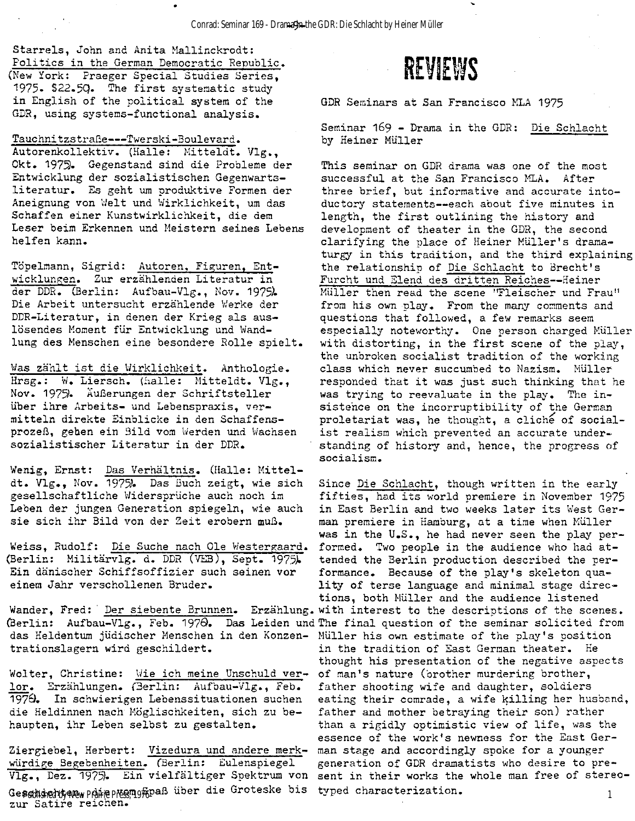Starrels, John and Anita Mallinckrodt: Politics in the German Democratic Republic.

(New York: Praeger Special Studies Series, 1975. \$22.5Q. The first systematic study in English of the political system of the GDR, using systems-functional analysis.

#### Tauchnitzstraße --- Twerski-Boulevard.

Autorenkollektiv. (Halle: Mitteldt. Vlg., Okt. 1975). Gegenstand sind die Probleme der Entwicklung der sozialistischen Gegenwartsliteratur. Es geht um produktive Formen der Aneignung von Welt und Wirklichkeit, um das Schaffen einer Kunstwirklichkeit , die dem Leser beim Erkennen und Meistern seines Lebens helfen kann.

Töpelmann, Sigrid: Autoren, Figuren, Entwicklungen. Zur erzählenden Literatur in der DDR. (Berlin: Aufbau-Vlg., Nov. 1975). Die Arbeit untersucht erzählende Werke der DDR-Literatur, in denen der Krieg als auslösendes Moment für Entwicklung und Wandlung des Menschen eine besondere Rolle spielt.

Was zählt ist die Wirklichkeit. Anthologie. Hrsg.: W. Liersch. (halle: Mitteldt. Vlg., Nov. 1975. Äußerungen der Schriftsteller über ihre Arbeits- und Lebenspraxis, vermitteln direkte Einblicke in den Schaffensprozeß, gehen ein Bild vom Werden und Wachsen sozialistischer Literatur in der DDR.

Wenig, Ernst: Das Verhältnis. (Halle: Mitteldt. Vlg., Nov. 1975). Das Buch zeigt, wie sich gesellschaftliche Widersprüche auch noch im Leben der jungen Generation spiegeln, wie auch sie sich ihr Bild von der Zeit erobern muß.

Weiss, Rudolf: Die Suche nach Ole Westergaard. (Berlin: Militärvlg. d. DDR (VEB), Sept. 1975). Ein dänischer Schiffsoffizier such seinen vor einem Jahr verschollenen Bruder.

das Heldentum jüdischer Menschen in den Konzen- Müller his own estimate of the play's position trationslagern wird geschildert.

Wolter, Christine: Wie ich meine Unschuld verlor. Erzählungen. (Berlin: Aufbau-Vlg., Feb. 1979. In schwierigen Lebenssituationen suchen die Heldinnen nach Möglischkeiten, sich zu behaupten, ihr Leben selbst zu gestalten.

Ziergiebel, Herbert: Vizedura und andere merkwürdige Begebenheiten. (Berlin: Eulenspiegel Vlg., Dez. 1975). Ein vielfältiger Spektrum von Ge<del>pahied tyn Paie</del> Presugne uber die Groteske bis zur Satire reichen.

# **REVIEWS**

GDR Seminars at San Francisco MLA 1975

Seminar 169 - Drama in the GDR: Die Schlacht by Heiner Müller

This seminar on GDR drama was one of the most successful at the San Francisco MLA. After three brief, but informative and accurate intoductory statements--each about five minutes in length, the first outlining the history and development of theater in the GDR, the second clarifying the place of Heiner Müller's dramaturgy in this tradition, and the third explaining the relationship of Die Schlacht to Brecht's Furcht und Elend des dritten Reiches--Heiner Müller then read the scene "Fleischer und Frau" from his own play. From the many comments and questions that followed, a few remarks seem especially noteworthy. One person charged Müller with distorting, in the first scene of the play, the unbroken socialist tradition of the working class which never succumbed to Nazism. Müller responded that it was just such thinking that he was trying to reevaluate in the play. The insistence on the incorruptibility of the German proletariat was, he thought, a cliché of socialist realism which prevented an accurate understanding of history and, hence, the progress of socialism .

Wander, Fred: Der siebente Brunnen. Erzählung. with interest to the descriptions of the scenes. (Berlin: Aufbau-Vlg., Feb. 1970. Das Leiden und The final question of the seminar solicited from Since Die Schlacht, though written in the early fifties, had its world premiere in November 1975 in East Berlin and two weeks later its West German premiere in Hamburg, at a time when Müller was in the U.S., he had never seen the play performed. Two people in the audience who had attended the Berlin production described the performance. Because of the play's skeleton quality of terse language and minimal stage directions, both Müller and the audience listened in the tradition of East German theater. He thought his presentation of the negative aspects of man's nature (brother murdering brother, father shooting wife and daughter, soldiers eating their comrade, a wife killing her husband, father and mother betraying their son) rather than a rigidly optimistic view of life, was the essence of the work's newness for the East German stage and accordingly spoke for a younger generation of GDR dramatists who desire to present in their works the whole man free of stereotyped characterization. 1